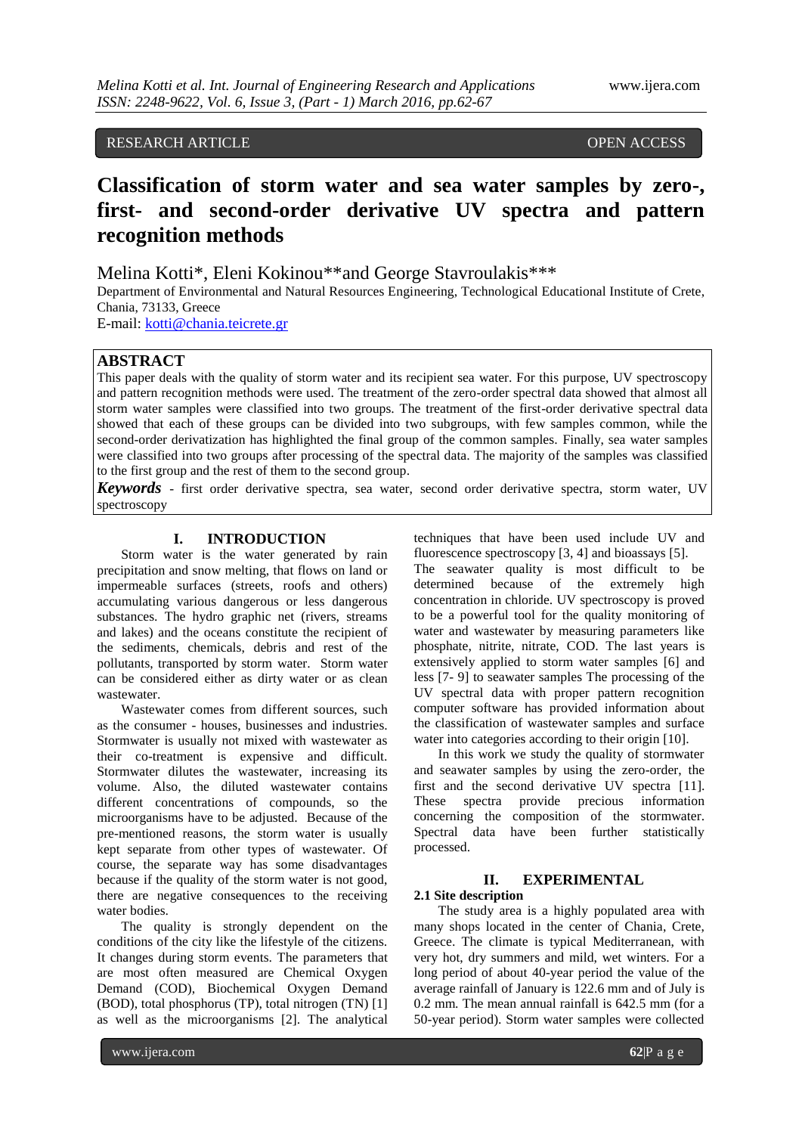### RESEARCH ARTICLE **CONSERVERS** OPEN ACCESS

# **Classification of storm water and sea water samples by zero-, first- and second-order derivative UV spectra and pattern recognition methods**

Melina Kotti\*, Eleni Kokinou\*\*and George Stavroulakis\*\*\*

Department of Environmental and Natural Resources Engineering, Technological Educational Institute of Crete, Chania, 73133, Greece

E-mail[: kotti@chania.teicrete.gr](mailto:kotti@chania.teicrete.gr)

### **ABSTRACT**

This paper deals with the quality of storm water and its recipient sea water. For this purpose, UV spectroscopy and pattern recognition methods were used. The treatment of the zero-order spectral data showed that almost all storm water samples were classified into two groups. The treatment of the first-order derivative spectral data showed that each of these groups can be divided into two subgroups, with few samples common, while the second-order derivatization has highlighted the final group of the common samples. Finally, sea water samples were classified into two groups after processing of the spectral data. The majority of the samples was classified to the first group and the rest of them to the second group.

*Keywords -* first order derivative spectra, sea water, second order derivative spectra, storm water, UV spectroscopy

### **I. INTRODUCTION**

Storm water is the water generated by rain precipitation and snow melting, that flows on land or impermeable surfaces (streets, roofs and others) accumulating various dangerous or less dangerous substances. The hydro graphic net (rivers, streams and lakes) and the oceans constitute the recipient of the sediments, chemicals, debris and rest of the pollutants, transported by storm water. Storm water can be considered either as dirty water or as clean wastewater.

Wastewater comes from different sources, such as the consumer - houses, businesses and industries. Stormwater is usually not mixed with wastewater as their co-treatment is expensive and difficult. Stormwater dilutes the wastewater, increasing its volume. Also, the diluted wastewater contains different concentrations of compounds, so the microorganisms have to be adjusted. Because of the pre-mentioned reasons, the storm water is usually kept separate from other types of wastewater. Of course, the separate way has some disadvantages because if the quality of the storm water is not good, there are negative consequences to the receiving water bodies.

The quality is strongly dependent on the conditions of the city like the lifestyle of the citizens. It changes during storm events. The parameters that are most often measured are Chemical Oxygen Demand (COD), Biochemical Oxygen Demand (BOD), total phosphorus (TP), total nitrogen (TN) [1] as well as the microorganisms [2]. The analytical

techniques that have been used include UV and fluorescence spectroscopy [3, 4] and bioassays [5].

The seawater quality is most difficult to be determined because of the extremely high concentration in chloride. UV spectroscopy is proved to be a powerful tool for the quality monitoring of water and wastewater by measuring parameters like phosphate, nitrite, nitrate, COD. The last years is extensively applied to storm water samples [6] and less [7- 9] to seawater samples The processing of the UV spectral data with proper pattern recognition computer software has provided information about the classification of wastewater samples and surface water into categories according to their origin [10].

In this work we study the quality of stormwater and seawater samples by using the zero-order, the first and the second derivative UV spectra [11]. These spectra provide precious information concerning the composition of the stormwater. Spectral data have been further statistically processed.

### **II. EXPERIMENTAL**

### **2.1 Site description**

The study area is a highly populated area with many shops located in the center of Chania, Crete, Greece. The climate is typical Mediterranean, with very hot, dry summers and mild, wet winters. For a long period of about 40-year period the value of the average rainfall of January is 122.6 mm and of July is 0.2 mm. The mean annual rainfall is 642.5 mm (for a 50-year period). Storm water samples were collected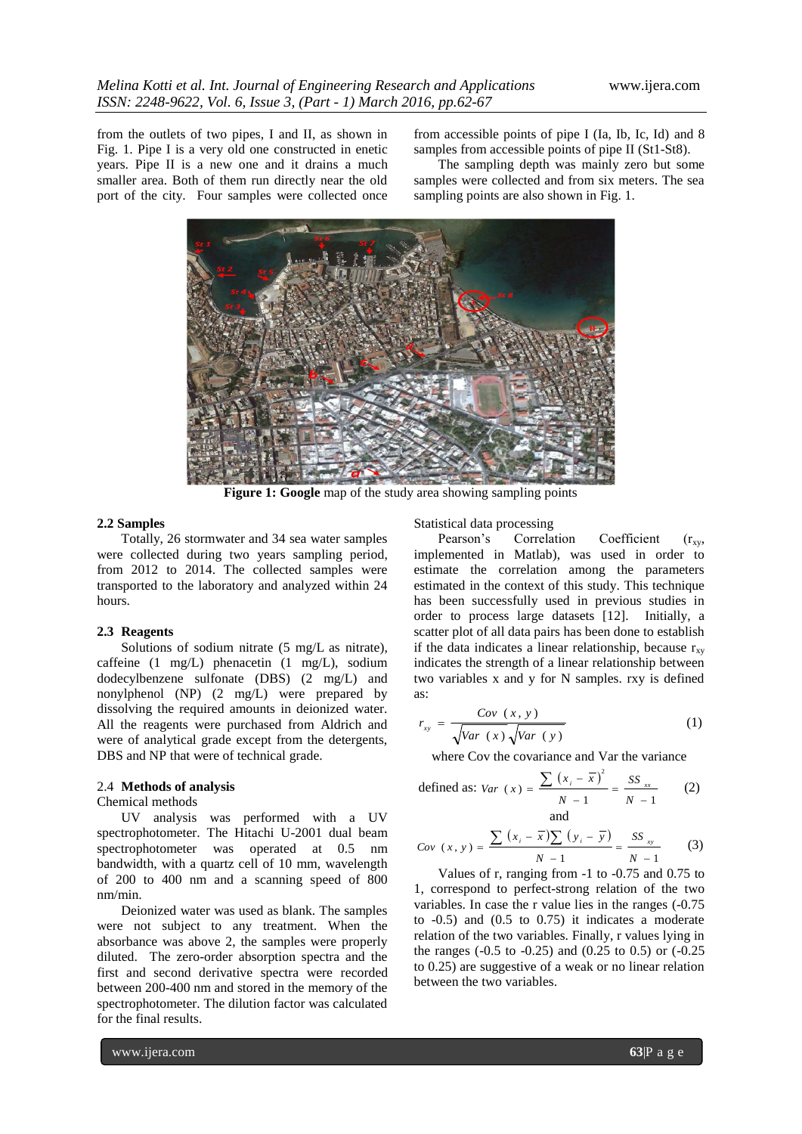from the outlets of two pipes, I and II, as shown in Fig. 1. Pipe I is a very old one constructed in enetic years. Pipe II is a new one and it drains a much smaller area. Both of them run directly near the old port of the city. Four samples were collected once

from accessible points of pipe I (Ia, Ib, Ic, Id) and 8 samples from accessible points of pipe II (St1-St8).

The sampling depth was mainly zero but some samples were collected and from six meters. The sea sampling points are also shown in Fig. 1.



Figure 1: Google map of the study area showing sampling points

### **2.2 Samples**

Totally, 26 stormwater and 34 sea water samples were collected during two years sampling period, from 2012 to 2014. The collected samples were transported to the laboratory and analyzed within 24 hours.

### **2.3 Reagents**

Solutions of sodium nitrate (5 mg/L as nitrate), caffeine (1 mg/L) phenacetin (1 mg/L), sodium dodecylbenzene sulfonate (DBS) (2 mg/L) and nonylphenol (NP) (2 mg/L) were prepared by dissolving the required amounts in deionized water. All the reagents were purchased from Aldrich and were of analytical grade except from the detergents, DBS and NP that were of technical grade.

### 2.4 **Methods of analysis**

### Chemical methods

UV analysis was performed with a UV spectrophotometer. The Hitachi U-2001 dual beam spectrophotometer was operated at 0.5 nm bandwidth, with a quartz cell of 10 mm, wavelength of 200 to 400 nm and a scanning speed of 800 nm/min.

Deionized water was used as blank. The samples were not subject to any treatment. When the absorbance was above 2, the samples were properly diluted. The zero-order absorption spectra and the first and second derivative spectra were recorded between 200-400 nm and stored in the memory of the spectrophotometer. The dilution factor was calculated for the final results.

Statistical data processing

Pearson's Correlation Coefficient  $(r_{xy},$ implemented in Matlab), was used in order to estimate the correlation among the parameters estimated in the context of this study. This technique has been successfully used in previous studies in order to process large datasets [12]. Initially, a scatter plot of all data pairs has been done to establish if the data indicates a linear relationship, because  $r_{xy}$ indicates the strength of a linear relationship between two variables x and y for N samples. rxy is defined as:

$$
r_{xy} = \frac{Cov(x, y)}{\sqrt{Var(x)}\sqrt{Var(y)}}\tag{1}
$$

where Cov the covariance and Var the variance

defined as: 
$$
Var(x) = \frac{\sum (x_i - \overline{x})^2}{N - 1} = \frac{SS_{xx}}{N - 1}
$$
 (2)  
and

$$
Cov(x, y) = \frac{\sum (x_i - \overline{x}) \sum (y_i - \overline{y})}{N - 1} = \frac{SS_{xy}}{N - 1}
$$
 (3)

Values of r, ranging from -1 to -0.75 and 0.75 to 1, correspond to perfect-strong relation of the two variables. In case the r value lies in the ranges (-0.75 to  $-0.5$ ) and  $(0.5 \text{ to } 0.75)$  it indicates a moderate relation of the two variables. Finally, r values lying in the ranges (-0.5 to -0.25) and (0.25 to 0.5) or (-0.25 to 0.25) are suggestive of a weak or no linear relation between the two variables.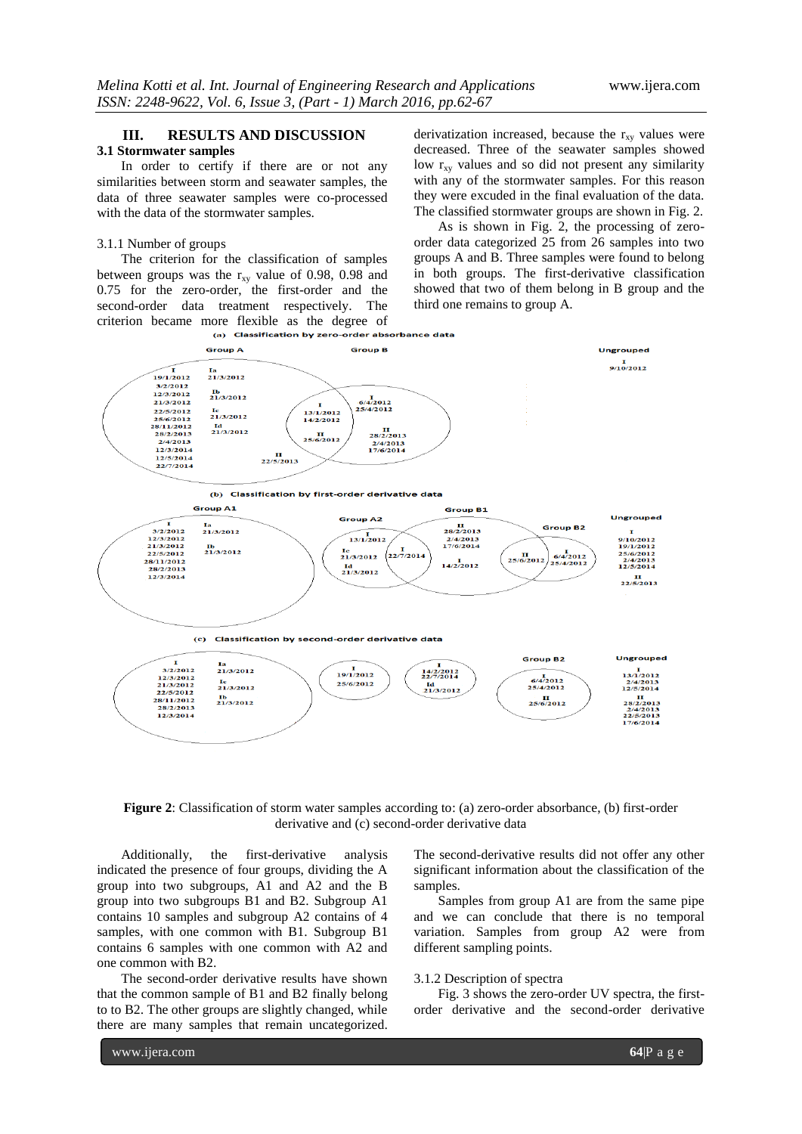## **III. RESULTS AND DISCUSSION**

### **3.1 Stormwater samples**

In order to certify if there are or not any similarities between storm and seawater samples, the data of three seawater samples were co-processed with the data of the stormwater samples.

### 3.1.1 Number of groups

The criterion for the classification of samples between groups was the  $r_{xy}$  value of 0.98, 0.98 and 0.75 for the zero-order, the first-order and the second-order data treatment respectively. The criterion became more flexible as the degree of<br>(a) Classification by zero-order absorbance data

derivatization increased, because the  $r_{xy}$  values were decreased. Three of the seawater samples showed low  $r_{xy}$  values and so did not present any similarity with any of the stormwater samples. For this reason they were excuded in the final evaluation of the data. The classified stormwater groups are shown in Fig. 2.

As is shown in Fig. 2, the processing of zeroorder data categorized 25 from 26 samples into two groups A and B. Three samples were found to belong in both groups. The first-derivative classification showed that two of them belong in B group and the third one remains to group A.



**Figure 2**: Classification of storm water samples according to: (a) zero-order absorbance, (b) first-order derivative and (c) second-order derivative data

Additionally, the first-derivative analysis indicated the presence of four groups, dividing the A group into two subgroups, A1 and A2 and the B group into two subgroups B1 and B2. Subgroup A1 contains 10 samples and subgroup A2 contains of 4 samples, with one common with B1. Subgroup B1 contains 6 samples with one common with A2 and one common with B2.

The second-order derivative results have shown that the common sample of B1 and B2 finally belong to to B2. The other groups are slightly changed, while there are many samples that remain uncategorized.

The second-derivative results did not offer any other significant information about the classification of the samples.

Samples from group A1 are from the same pipe and we can conclude that there is no temporal variation. Samples from group A2 were from different sampling points.

### 3.1.2 Description of spectra

Fig. 3 shows the zero-order UV spectra, the firstorder derivative and the second-order derivative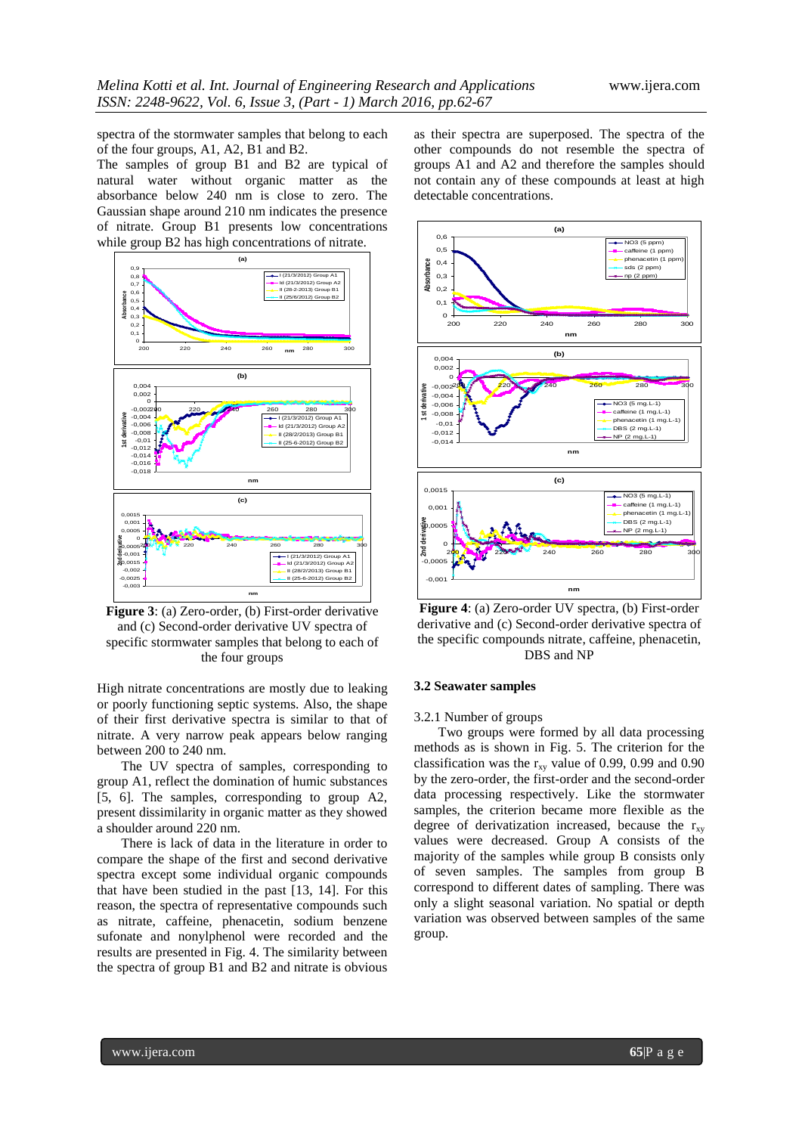spectra of the stormwater samples that belong to each of the four groups, A1, A2, B1 and B2.

The samples of group B1 and B2 are typical of natural water without organic matter as the absorbance below 240 nm is close to zero. The Gaussian shape around 210 nm indicates the presence of nitrate. Group B1 presents low concentrations while group B2 has high concentrations of nitrate.



**Figure 3**: (a) Zero-order, (b) First-order derivative and (c) Second-order derivative UV spectra of specific stormwater samples that belong to each of the four groups

High nitrate concentrations are mostly due to leaking or poorly functioning septic systems. Also, the shape of their first derivative spectra is similar to that of nitrate. A very narrow peak appears below ranging between 200 to 240 nm.

The UV spectra of samples, corresponding to group A1, reflect the domination of humic substances [5, 6]. The samples, corresponding to group A2, present dissimilarity in organic matter as they showed a shoulder around 220 nm.

There is lack of data in the literature in order to compare the shape of the first and second derivative spectra except some individual organic compounds that have been studied in the past [13, 14]. For this reason, the spectra of representative compounds such as nitrate, caffeine, phenacetin, sodium benzene sufonate and nonylphenol were recorded and the results are presented in Fig. 4. The similarity between the spectra of group B1 and B2 and nitrate is obvious

as their spectra are superposed. The spectra of the other compounds do not resemble the spectra of groups A1 and A2 and therefore the samples should not contain any of these compounds at least at high detectable concentrations.



**Figure 4**: (a) Zero-order UV spectra, (b) First-order derivative and (c) Second-order derivative spectra of the specific compounds nitrate, caffeine, phenacetin, DBS and NP

### **3.2 Seawater samples**

#### 3.2.1 Number of groups

Two groups were formed by all data processing methods as is shown in Fig. 5. The criterion for the classification was the  $r_{xy}$  value of 0.99, 0.99 and 0.90 by the zero-order, the first-order and the second-order data processing respectively. Like the stormwater samples, the criterion became more flexible as the degree of derivatization increased, because the  $r_{xy}$ values were decreased. Group A consists of the majority of the samples while group B consists only of seven samples. The samples from group B correspond to different dates of sampling. There was only a slight seasonal variation. No spatial or depth variation was observed between samples of the same group.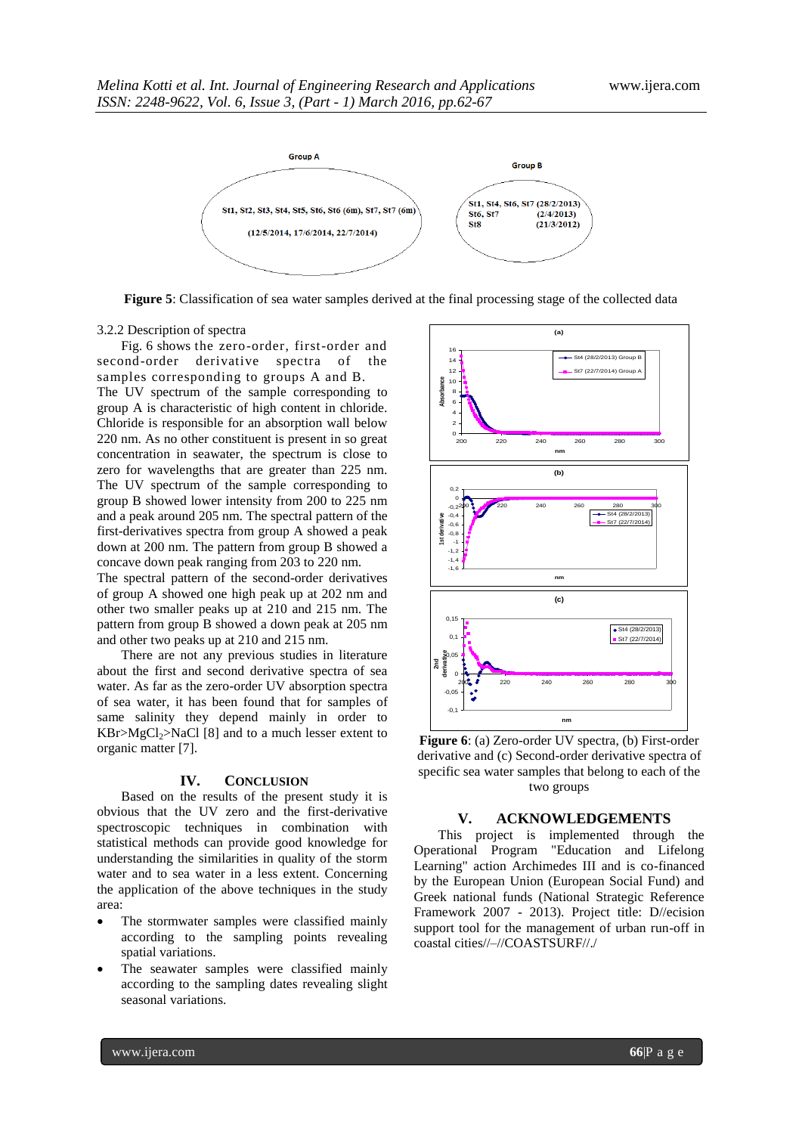

**Figure 5**: Classification of sea water samples derived at the final processing stage of the collected data

#### 3.2.2 Description of spectra

Fig. 6 shows the zero-order, first-order and second-order derivative spectra of the samples corresponding to groups A and B.

The UV spectrum of the sample corresponding to group A is characteristic of high content in chloride. Chloride is responsible for an absorption wall below 220 nm. As no other constituent is present in so great concentration in seawater, the spectrum is close to zero for wavelengths that are greater than 225 nm. The UV spectrum of the sample corresponding to group B showed lower intensity from 200 to 225 nm and a peak around 205 nm. The spectral pattern of the first-derivatives spectra from group A showed a peak down at 200 nm. The pattern from group B showed a concave down peak ranging from 203 to 220 nm.

The spectral pattern of the second-order derivatives of group A showed one high peak up at 202 nm and other two smaller peaks up at 210 and 215 nm. The pattern from group B showed a down peak at 205 nm and other two peaks up at 210 and 215 nm.

There are not any previous studies in literature about the first and second derivative spectra of sea water. As far as the zero-order UV absorption spectra of sea water, it has been found that for samples of same salinity they depend mainly in order to  $KBr > MgCl<sub>2</sub> > NaCl [8]$  and to a much lesser extent to organic matter [7].

### **IV. CONCLUSION**

Based on the results of the present study it is obvious that the UV zero and the first-derivative spectroscopic techniques in combination with statistical methods can provide good knowledge for understanding the similarities in quality of the storm water and to sea water in a less extent. Concerning the application of the above techniques in the study area:

- The stormwater samples were classified mainly according to the sampling points revealing spatial variations.
- The seawater samples were classified mainly according to the sampling dates revealing slight seasonal variations.



**Figure 6**: (a) Zero-order UV spectra, (b) First-order derivative and (c) Second-order derivative spectra of specific sea water samples that belong to each of the two groups

### **V. ACKNOWLEDGEMENTS**

This project is implemented through the Operational Program "Education and Lifelong Learning" action Archimedes III and is co-financed by the European Union (European Social Fund) and Greek national funds (National Strategic Reference Framework 2007 - 2013). Project title: D//ecision support tool for the management of urban run-off in coastal cities//–//COASTSURF//./